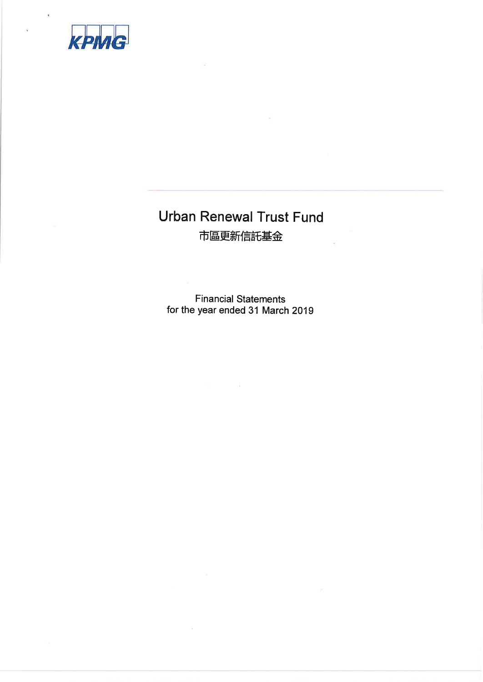

# Urban Renewal Trust Fund 市區更新信託基金

Financial Statements for the year ended 31 March 2019

 $\mathcal{L}_{\mathcal{C}}$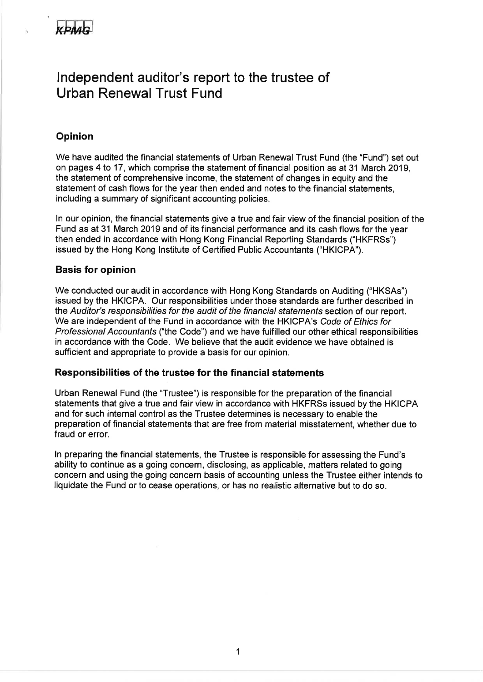

## lndependent auditor's report to the trustee of Urban Renewal Trust Fund

#### Opinion

We have audited the financial statements of Urban Renewal Trust Fund (the "Fund") set out on pages 4 to <sup>17</sup>, which comprise the statement of financial position as at 31 March 2019, the statement of comprehensive income, the statement of changes in equity and the statement of cash flows for the year then ended and notes to the financial statements, including a summary of significant accounting policies.

ln our opinion, the financial statements give a true and fair view of the financial position of the Fund as at 31 March 2019 and of its financial performance and its cash flows for the year then ended in accordance with Hong Kong Financial Reporting Standards ("HKFRSs") issued by the Hong Kong lnstitute of Certified Public Accountants ("HKICPA").

#### Basis for opinion

We conducted our audit in accordance with Hong Kong Standards on Auditing ("HKSAs") issued by the HKICPA. Our responsibilities under those standards are further described in the Auditor's responsibilities for the audit of the financial statements section of our report. We are independent of the Fund in accordance with the HKICPA's Code of Ethics for Professional Accountanfs ("the Code") and we have fulfilled our other ethical responsibilities in accordance with the Code. We believe that the audit evidence we have obtained is sufficient and appropriate to provide a basis for our opinion.

#### Responsibilities of the trustee for the financial statements

Urban Renewal Fund (the "Trustee") is responsible for the preparation of the financial statements that give a true and fair view in accordance with HKFRSs issued by the HKICPA and for such internal control as the Trustee determines is necessary to enable the preparation of financial statements that are free from material misstatement, whether due to fraud or error.

ln preparing the financial statements, the Trustee is responsible for assessing the Fund's ability to continue as a going concern, disclosing, as applicable, matters related to going concern and using the going concern basis of accounting unless the Trustee either intends to liquidate the Fund or to cease operations, or has no realistic alternative but to do so.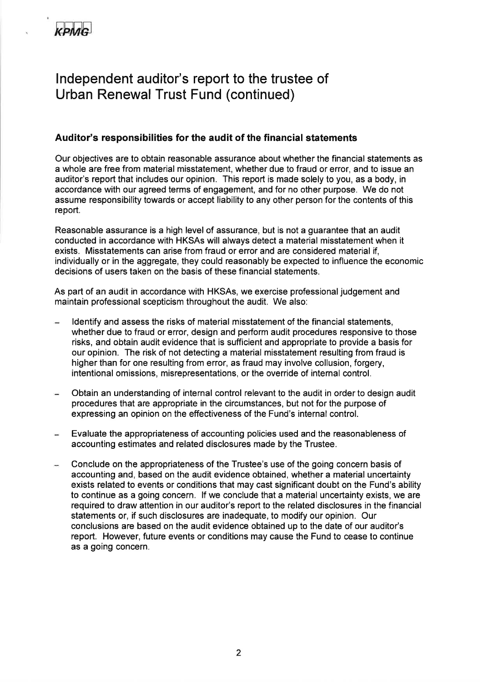## lndependent auditor's report to the trustee of Urban Renewal Trust Fund (continued)

### Auditor's responsibilities for the audit of the financial statements

Our objectives are to obtain reasonable assurance about whether the financial statements as a whole are free from material misstatement, whether due to fraud or error, and to issue an auditor's report that includes our opinion. This report is made solely to you, as a body, in accordance with our agreed terms of engagement, and for no other purpose. We do not assume responsibility towards or accept liability to any other person for the contents of this report.

Reasonable assurance is a high level of assurance, but is not a guarantee that an audit conducted in accordance with HKSAs will always detect a material misstatement when it exists. Misstatements can arise from fraud or error and are considered material if, individually or in the aggregate, they could reasonably be expected to influence the economic decisions of users taken on the basis of these financial statements.

As part of an audit in accordance with HKSAs, we exercise professional judgement and maintain professional scepticism throughout the audit. We also:

- ldentify and assess the risks of material misstatement of the financial statements, whether due to fraud or error, design and perform audit procedures responsive to those risks, and obtain audit evidence that is sufficient and appropriate to provide a basis for our opinion. The risk of not detecting a material misstatement resulting from fraud is higher than for one resulting from error, as fraud may involve collusion, forgery, intentional omissions, misrepresentations, or the override of intemal control.
- Obtain an understanding of internal control relevant to the audit in order to design audit procedures that are appropriate in the circumstances, but not for the purpose of expressing an opinion on the effectiveness of the Fund's internal control.
- Evaluate the appropriateness of accounting policies used and the reasonableness of accounting estimates and related disclosures made by the Trustee.
- Conclude on the appropriateness of the Trustee's use of the going concern basis of accounting and, based on the audit evidence obtained, whether a material uncertainty exists related to events or conditions that may cast significant doubt on the Fund's ability to continue as a going concern. lf we conclude that a material uncertainty exists, we are required to draw attention in our auditor's report to the related disclosures in the financial statements or, if such disclosures are inadequate, to modify our opinion. Our conclusions are based on the audit evidence obtained up to the date of our auditor's report. However, future events or conditions may cause the Fund to cease to continue as a going concern.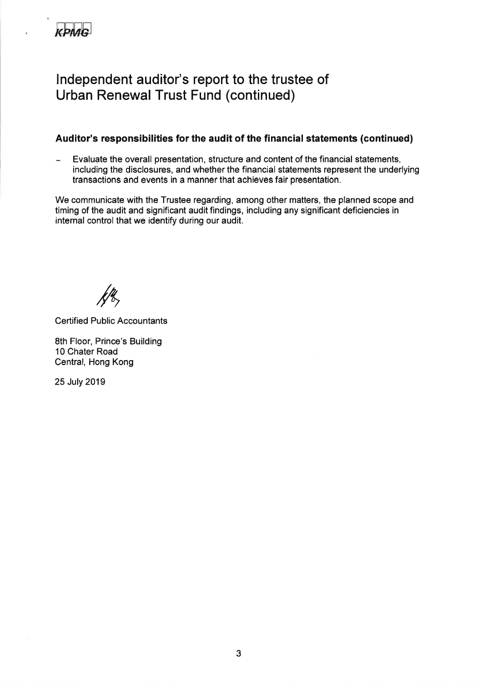

## lndependent auditor's report to the trustee of Urban Renewal Trust Fund (continued)

### Auditor's responsibilities for the audit of the financial statements (continued)

Evaluate the overall presentation, structure and content of the financial statements, including the disclosures, and whether the financial statements represent the underlying transactions and events in a manner that achieves fair presentation.

We communicate with the Trustee regarding, among other matters, the planned scope and timing of the audit and significant audit findings, including any significant deficiencies in internal control that we identify during our audit.

 $/ \gamma$ 

**Certified Public Accountants** 

8th Floor, Prince's Building 10 Chater Road Central, Hong Kong

25 July 2019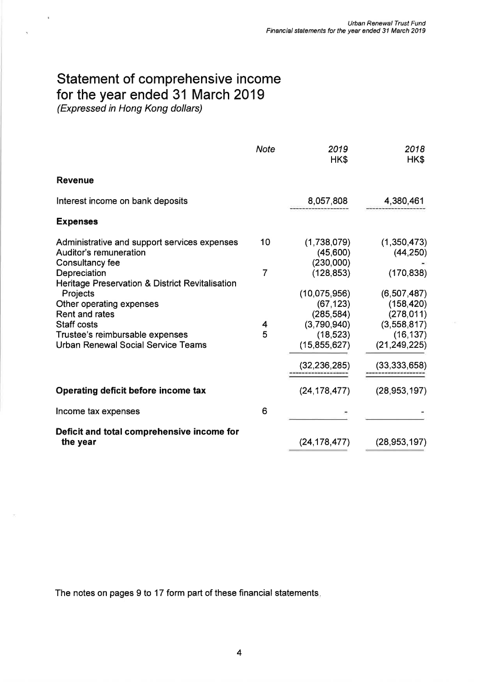# Statement of comprehensive income for the year ended 31 March 2019

(Expressed in Hong Kong dollars)

¥

|                                                                                    | <b>Note</b> | 2019<br>HK\$                          | 2018<br>HK\$                           |
|------------------------------------------------------------------------------------|-------------|---------------------------------------|----------------------------------------|
| <b>Revenue</b>                                                                     |             |                                       |                                        |
| Interest income on bank deposits                                                   |             | 8,057,808                             | 4,380,461                              |
| <b>Expenses</b>                                                                    |             |                                       |                                        |
| Administrative and support services expenses<br>Auditor's remuneration             | 10          | (1,738,079)<br>(45,600)               | (1,350,473)<br>(44, 250)               |
| Consultancy fee<br>Depreciation<br>Heritage Preservation & District Revitalisation | 7           | (230,000)<br>(128, 853)               | (170, 838)                             |
| Projects<br>Other operating expenses<br>Rent and rates                             |             | (10,075,956)<br>(67, 123)             | (6,507,487)<br>(158, 420)              |
| <b>Staff costs</b><br>Trustee's reimbursable expenses                              | 4<br>5      | (285, 584)<br>(3,790,940)<br>(18,523) | (278, 011)<br>(3,558,817)<br>(16, 137) |
| <b>Urban Renewal Social Service Teams</b>                                          |             | (15, 855, 627)                        | (21, 249, 225)                         |
|                                                                                    |             | (32, 236, 285)                        | (33, 333, 658)                         |
| Operating deficit before income tax                                                |             | (24, 178, 477)                        | (28, 953, 197)                         |
| Income tax expenses                                                                | 6           |                                       |                                        |
| Deficit and total comprehensive income for<br>the year                             |             | (24, 178, 477)                        | (28, 953, 197)                         |

The notes on pages 9 to 17 form part of these financial statements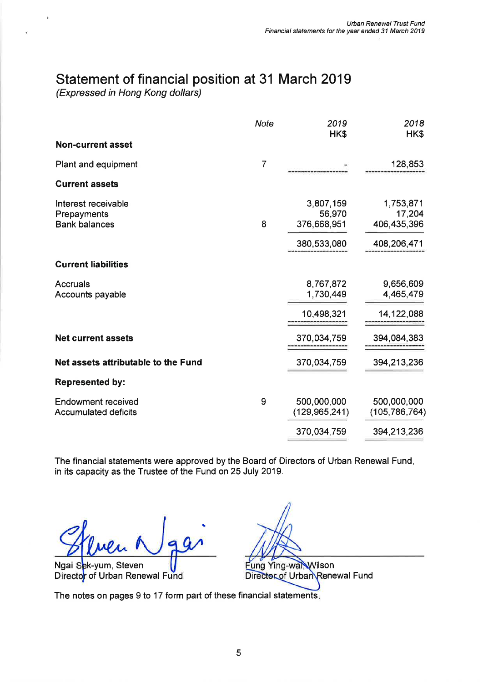## Statement of financial position at 31 March 2019

(Expressed in Hong Kong dollars)

À.

|                                                            | <b>Note</b>    | 2019<br>HK\$                                      | 2018<br>HK\$                                      |
|------------------------------------------------------------|----------------|---------------------------------------------------|---------------------------------------------------|
| <b>Non-current asset</b>                                   |                |                                                   |                                                   |
| Plant and equipment                                        | $\overline{7}$ |                                                   | 128,853                                           |
| <b>Current assets</b>                                      |                |                                                   |                                                   |
| Interest receivable<br>Prepayments<br><b>Bank balances</b> | 8              | 3,807,159<br>56,970<br>376,668,951<br>380,533,080 | 1,753,871<br>17,204<br>406,435,396<br>408,206,471 |
| <b>Current liabilities</b>                                 |                |                                                   |                                                   |
| <b>Accruals</b><br>Accounts payable                        |                | 8,767,872<br>1,730,449                            | 9,656,609<br>4,465,479                            |
|                                                            |                | 10,498,321                                        | 14,122,088                                        |
| <b>Net current assets</b>                                  |                | 370,034,759                                       | 394,084,383                                       |
| Net assets attributable to the Fund                        |                | 370,034,759                                       | 394,213,236                                       |
| <b>Represented by:</b>                                     |                |                                                   |                                                   |
| <b>Endowment received</b><br><b>Accumulated deficits</b>   | 9              | 500,000,000<br>(129, 965, 241)                    | 500,000,000<br>(105, 786, 764)                    |
|                                                            |                | 370,034,759                                       | 394,213,236                                       |

The financial statements were approved by the Board of Directors of Urban Renewal Fund, in its capacity as the Trustee of the Fund on 25 July 2019.

Ngai Sek-yum, Steven Director of Urban Renewal Fund

Fung Ying-wal, Wilson Director of Urban Renewal Fund

The notes on pages 9 to 17 form part of these financial statements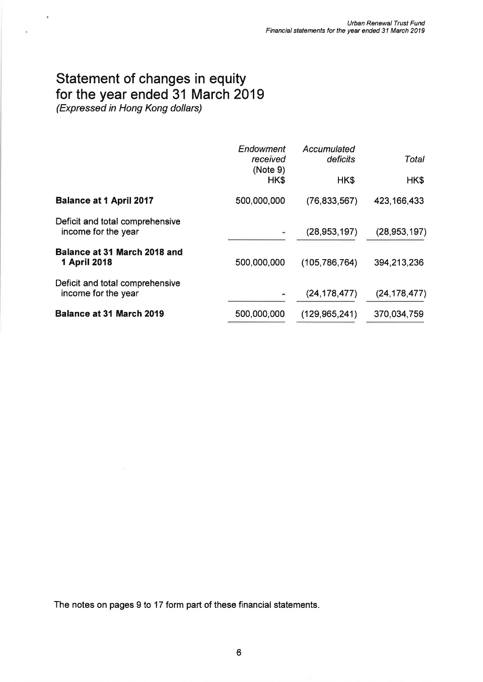## Statement of changes in equity for the year ended 31 March 2019

(Expressed in Hong Kong dollars)

 $\psi$ 

×

|                                                        | Endowment<br>received<br>(Note 9) | Accumulated<br>deficits | Total          |
|--------------------------------------------------------|-----------------------------------|-------------------------|----------------|
|                                                        | HK\$                              | HK\$                    | HK\$           |
| <b>Balance at 1 April 2017</b>                         | 500,000,000                       | (76, 833, 567)          | 423, 166, 433  |
| Deficit and total comprehensive<br>income for the year |                                   | (28, 953, 197)          | (28, 953, 197) |
| Balance at 31 March 2018 and<br><b>1 April 2018</b>    | 500,000,000                       | (105, 786, 764)         | 394,213,236    |
| Deficit and total comprehensive<br>income for the year |                                   | (24, 178, 477)          | (24, 178, 477) |
| <b>Balance at 31 March 2019</b>                        | 500,000,000                       | (129, 965, 241)         | 370,034,759    |

The notes on pages 9 to 17 form part of these financial statements.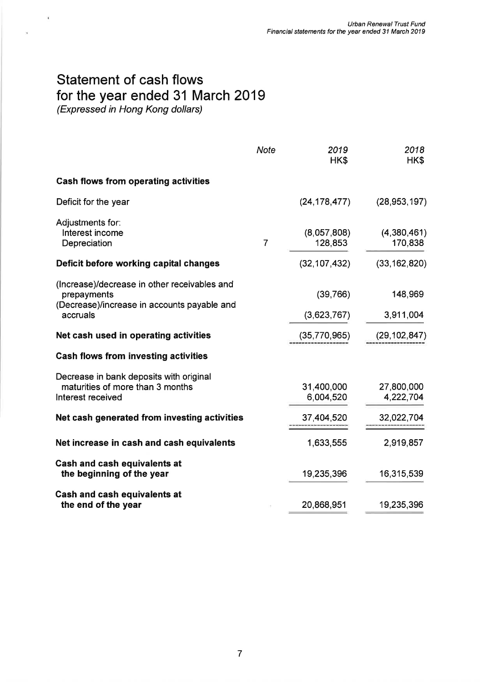# Statement of cash flows for the year ended 31 March 2019

(Expressed in Hong Kong dollars)

 $\pmb{\ast}$ 

 $\hat{\theta}$ 

|                                                                                                            | <b>Note</b>    | 2019<br>HK\$            | 2018<br>HK\$            |
|------------------------------------------------------------------------------------------------------------|----------------|-------------------------|-------------------------|
| <b>Cash flows from operating activities</b>                                                                |                |                         |                         |
| Deficit for the year                                                                                       |                | (24, 178, 477)          | (28, 953, 197)          |
| Adjustments for:<br>Interest income<br>Depreciation                                                        | $\overline{7}$ | (8,057,808)<br>128,853  | (4,380,461)<br>170,838  |
| Deficit before working capital changes                                                                     |                | (32, 107, 432)          | (33, 162, 820)          |
| (Increase)/decrease in other receivables and<br>prepayments<br>(Decrease)/increase in accounts payable and |                | (39,766)                | 148,969                 |
| accruals                                                                                                   |                | (3,623,767)             | 3,911,004               |
| Net cash used in operating activities                                                                      |                | (35,770,965)            | (29, 102, 847)          |
| <b>Cash flows from investing activities</b>                                                                |                |                         |                         |
| Decrease in bank deposits with original<br>maturities of more than 3 months<br>Interest received           |                | 31,400,000<br>6,004,520 | 27,800,000<br>4,222,704 |
| Net cash generated from investing activities                                                               |                | 37,404,520              | 32,022,704              |
| Net increase in cash and cash equivalents                                                                  |                | 1,633,555               | 2,919,857               |
| <b>Cash and cash equivalents at</b><br>the beginning of the year                                           |                | 19,235,396              | 16,315,539              |
| Cash and cash equivalents at<br>the end of the year                                                        |                | 20,868,951              | 19,235,396              |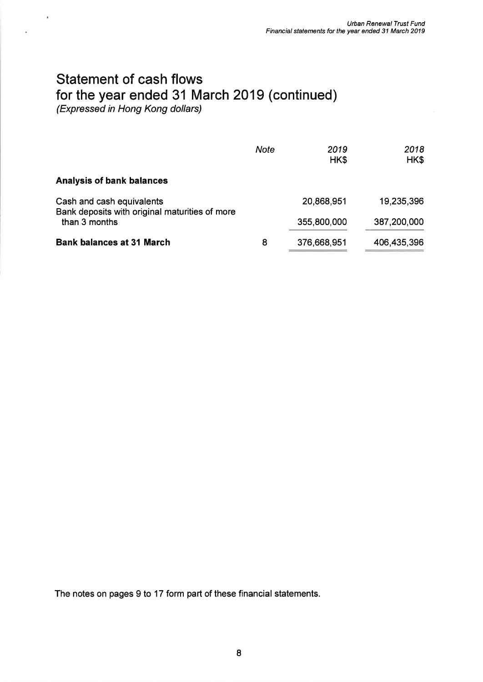# Statement of cash flows for the year ended 31 March 2019 (continued)

(Expressed in Hong Kong dollars)

×,

|                                                                             | <b>Note</b> | 2019<br>HK\$ | 2018<br>HK\$ |
|-----------------------------------------------------------------------------|-------------|--------------|--------------|
| <b>Analysis of bank balances</b>                                            |             |              |              |
| Cash and cash equivalents<br>Bank deposits with original maturities of more |             | 20,868,951   | 19,235,396   |
| than 3 months                                                               |             | 355,800,000  | 387,200,000  |
| <b>Bank balances at 31 March</b>                                            | 8           | 376,668,951  | 406,435,396  |

The notes on pages 9 to 17 form part of these financial statements.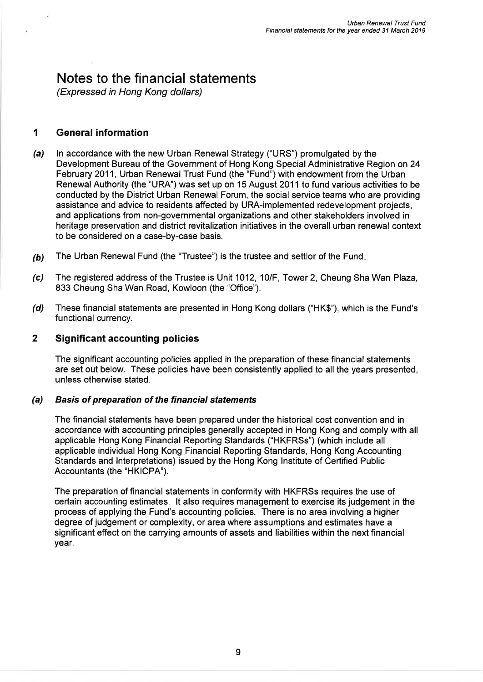## Notes to the financial statements

(Expressed in Hong Kong dollars)

## 1 General information

- (a) In accordance with the new Urban Renewal Strategy ("URS") promulgated by the Development Bureau of the Government of Hong Kong Special Administrative Region on 24 February 2011, Urban Renewal Trust Fund (the "Fund") with endowment from the Urban Renewal Authority (the "URA") was set up on 15 August 2011 to fund various activities to be conducted by the District Urban Renewal Forum, the social service teams who are providing assistance and advice to residents affected by URA-implemented redevelopment projects, and applications from non-governmental organizations and other stakeholders involved in heritage preservation and district revitalization initiatives in the overall urban renewal context to be considered on a case-by-case basis.
- (b) The Urban Renewal Fund (the "Trustee") is the trustee and settlor of the Fund.
- (c) The registered address of the Trustee is Unit 1012, 10/F, Tower 2, Cheung Sha Wan Plaza, 833 Cheung Sha Wan Road, Kowloon (the "Office").
- (d) These financial statements are presented in Hong Kong dollars ("HK\$"), which is the Fund's functional currency.

### 2 Significant accounting policies

The significant accounting policies applied in the preparation of these financial statements are set out below. These policies have been consistently applied to all the years presented, unless otherwise stated.

#### (a) Basis of preparation of the financial statements

The financial statements have been prepared under the historical cost convention and in accordance with accounting principles generally accepted in Hong Kong and comply with all applicable Hong Kong Financial Reporting Standards ("HKFRSs") (which include all applicable individual Hong Kong Financial Reporting Standards, Hong Kong Accounting Standards and lnterpretations) issued by the Hong Kong lnstitute of Certified Public Accountants (the "HKICPA").

The preparation of financial statements in conformity with HKFRSS requires the use of certain accounting estimates. lt also requires management to exercise its judgement in the process of applying the Fund's accounting policies. There is no area involving a higher degree of judgement or complexity, or area where assumptions and estimates have a significant effect on the carrying amounts of assets and liabilities within the next financial year.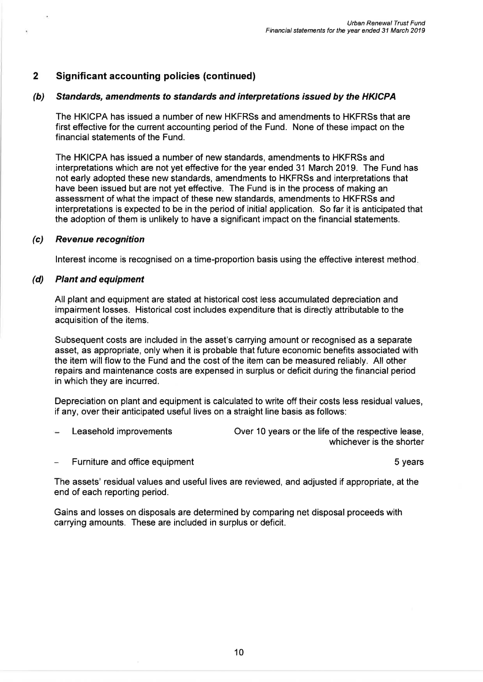#### (b) Standards, amendments to standards and interpretations issued by the HKICPA

The HKICPA has issued a number of new HKFRSS and amendments to HKFRSs that are first effective for the current accounting period of the Fund. None of these impact on the financial statements of the Fund.

The HKICPA has issued a number of new standards, amendments to HKFRSs and interpretations which are not yet effective for the year ended 31 March 2019. The Fund has not early adopted these new standards, amendments to HKFRSS and interpretations that have been issued but are not yet effective. The Fund is in the process of making an assessment of what the impact of these new standards, amendments to HKFRSs and interpretations is expected to be in the period of initial application. So far it is anticipated that the adoption of them is unlikely to have a significant impact on the financial statements,

#### (c) Revenue recognition

lnterest income is recognised on a time-proportion basis using the effective interest method

#### (d) Plant and equipment

All plant and equipment are stated at historical cost less accumulated depreciation and impairment losses. Historical cost includes expenditure that is directly attributable to the acquisition of the items.

Subsequent costs are included in the asset's carrying amount or recognised as a separate asset, as appropriate, only when it is probable that future economic benefits associated with the item will flow to the Fund and the cost of the item can be measured reliably. All other repairs and maintenance costs are expensed in surplus or deficit during the financial period in which they are incurred.

Depreciation on plant and equipment is calculated to write off their costs less residual values, if any, over their anticipated useful lives on a straight line basis as follows:

Leasehold improvements Over 10 years or the life of the respective lease,

whichever is the shorter

Furniture and office equipment 5 years 5 years

The assets' residual values and useful lives are reviewed, and adjusted if appropriate, at the end of each reporting period.

Gains and losses on disposals are determined by comparing net disposal proceeds with carrying amounts. These are included in surplus or deficit.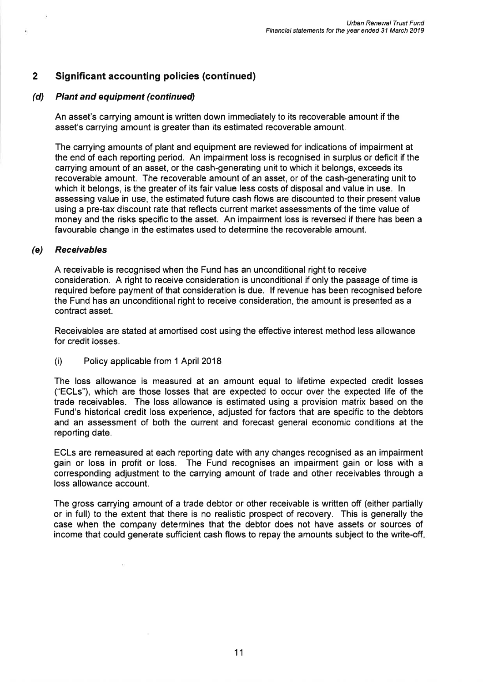#### (d) Plant and equipment (continued)

An asset's carrying amount is written down immediately to its recoverable amount if the asset's carrying amount is greater than its estimated recoverable amount.

The carrying amounts of plant and equipment are reviewed for indications of impairment at the end of each reporting period. An impairment loss is recognised in surplus or deficit if the carrying amount of an asset, or the cash-generating unit to which it belongs, exceeds its recoverable amount. The recoverable amount of an asset, or of the cash-generating unit to which it belongs, is the greater of its fair value less costs of disposal and value in use. In assessing value in use, the estimated future cash flows are discounted to their present value using a pre-tax discount rate that reflects current market assessments of the time value of money and the risks specific to the asset. An impairment loss is reversed if there has been a favourable change in the estimates used to determine the recoverable amount.

#### (e) Receivables

A receivable is recognised when the Fund has an unconditional right to receive consideration. A right to receive consideration is unconditional if only the passage of time is required before payment of that consideration is due. lf revenue has been recognised before the Fund has an unconditional right to receive consideration, the amount is presented as a contract asset.

Receivables are stated at amortised cost using the effective interest method less allowance for credit losses.

(i) Policy applicable from 1 April <sup>2018</sup>

The loss allowance is measured at an amount equal to lifetime expected credit losses ("ECLs"), which are those losses that are expected to occur over the expected life of the trade receivables. The loss allowance is estimated using a provision matrix based on the Fund's historical credit loss experience, adjusted for factors that are specific to the debtors and an assessment of both the current and forecast general economic conditions at the reporting date.

ECLs are remeasured at each reporting date with any changes recognised as an impairment gain or loss in profit or loss. The Fund recognises an impairment gain or loss with <sup>a</sup> corresponding adjustment to the carrying amount of trade and other receivables through a loss allowance account.

The gross carrying amount of a trade debtor or other receivable is written off (either partially or in full) to the extent that there is no realistic prospect of recovery. This is generally the case when the company determines that the debtor does not have assets or sources of income that could generate sufficient cash flows to repay the amounts subject to the write-off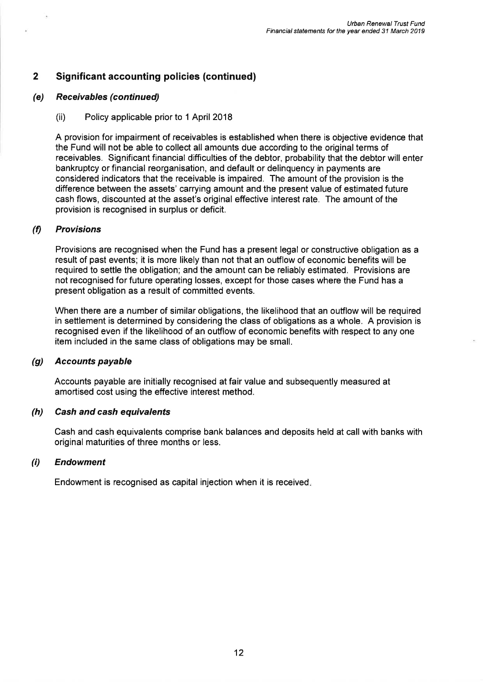#### (e) Receivables(continued)

(ii) Policy applicable prior to 1 April 2018

A provision for impairment of receivables is established when there is objective evidence that the Fund will not be able to collect all amounts due according to the originalterms of receivables. Significant financial difficulties of the debtor, probability that the debtor will enter bankruptcy or financial reorganisation, and default or delinquency in payments are considered indicators that the receivable is impaired. The amount of the provision is the difference between the assets' carrying amount and the present value of estimated future cash flows, discounted at the asset's original effective interest rate. The amount of the provision is recognised in surplus or deficit.

#### 0 Provisions

Provisions are recognised when the Fund has a present legal or constructive obligation as a result of past events; it is more likely than not that an outflow of economic benefits will be required to settle the obligation; and the amount can be reliably estimated. Provisions are not recognised for future operating losses, except for those cases where the Fund has a present obligation as a result of committed events.

When there are a number of similar obligations, the likelihood that an outflow will be required in settlement is determined by considering the class of obligations as a whole. A provision is recognised even if the likelihood of an outflow of economic benefits with respect to any one item included in the same class of obligations may be small.

#### (g) Accounts payable

Accounts payable are initially recognised at fair value and subsequently measured at amortised cost using the effective interest method.

#### (h) Cash and cash equivalents

Cash and cash equivalents comprise bank balances and deposits held at call with banks with original maturities of three months or less.

#### (i) Endowment

Endowment is recognised as capital injection when it is received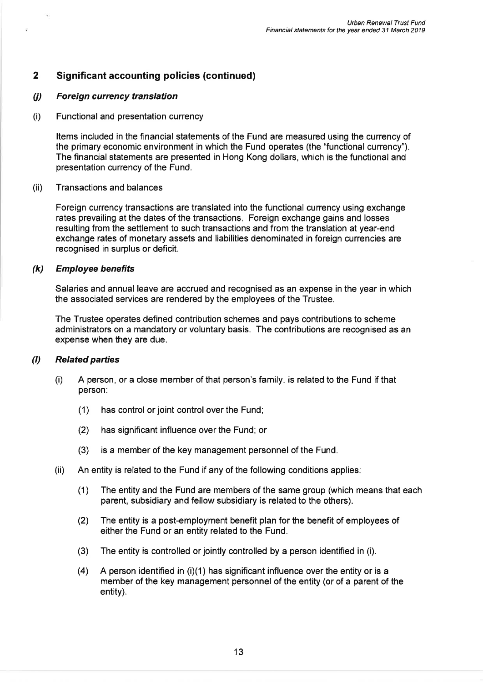#### (j) Foreign currency translation

(i) Functional and presentation currency

Items included in the financial statements of the Fund are measured using the currency of the primary economic environment in which the Fund operates (the "functional currency"). The financial statements are presented in Hong Kong dollars, which is the functional and presentation currency of the Fund.

#### (ii) Transactions and balances

Foreign currency transactions are translated into the functional currency using exchange rates prevailing at the dates of the transactions. Foreign exchange gains and losses resulting from the settlement to such transactions and from the translation at year-end exchange rates of monetary assets and liabilities denominated in foreign currencies are recognised in surplus or deficit.

#### (k) Employee benefits

Salaries and annual leave are accrued and recognised as an expense in the year in which the associated services are rendered by the employees of the Trustee.

The Trustee operates defined contribution schemes and pays contributions to scheme administrators on a mandatory or voluntary basis. The contributions are recognised as an expense when they are due.

#### (I) Related parties

- (i) <sup>A</sup>person, or a close member of that person's family, is related to the Fund if that person:
	- (1) has control or joint control over the Fund;
	- (2) has significant influence over the Fund; or
	- (3) is a member of the key management personnel of the Fund.
- (ii) An entity is related to the Fund if any of the following conditions applies:
	- (1) The entity and the Fund are members of the same group (which means that each parent, subsidiary and fellow subsidiary is related to the others).
	- (2) The entity is a post-employment benefit plan for the benefit of employees of either the Fund or an entity related to the Fund.
	- (3) The entity is controlled or jointly controlled by a person identified in (i).
	- $(4)$ A person identified in (i)(1) has significant influence over the entity or is a member of the key management personnel of the entity (or of a parent of the entity).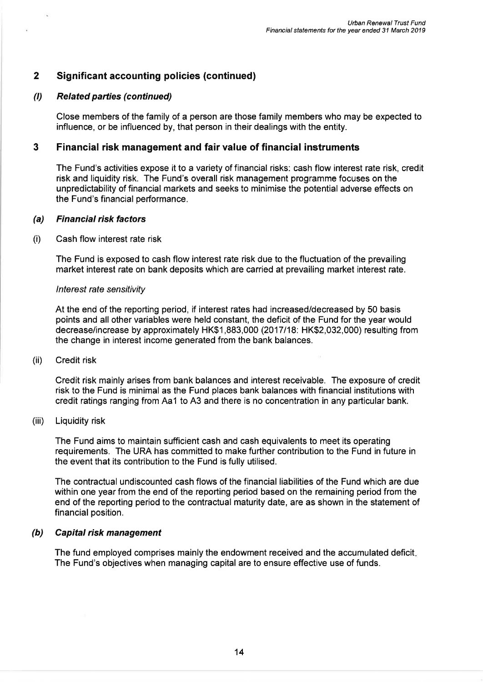#### (l) Related parties (continued)

Close members of the family of a person are those family members who may be expected to influence, or be influenced by, that person in their dealings with the entity.

#### 3 Financial risk management and fair value of financial instruments

The Fund's activities expose it to a variety of financial risks: cash flow interest rate risk, credit risk and liquidity risk. The Fund's overall risk management programme focuses on the unpredictability of financial markets and seeks to minimise the potential adverse effects on the Fund's financial performance.

#### (a) Financial risk factors

#### (i) Cash flow interest rate risk

The Fund is exposed to cash flow interest rate risk due to the fluctuation of the prevailing market interest rate on bank deposits which are carried at prevailing market interest rate.

#### <sup>I</sup>nterest rate sensitivity

At the end of the reporting period, if interest rates had increased/decreased by 50 basis points and all other variables were held constant, the deficit of the Fund for the year would decrease/increase by approximately HK\$1,883,000 (2017118: HK\$2,032,000) resulting from the change in interest income generated from the bank balances.

#### (ii) Credit risk

Credit risk mainly arises from bank balances and interest receivable. The exposure of credit risk to the Fund is minimal as the Fund places bank balances with financial institutions with credit ratings ranging from Aa1 to A3 and there is no concentration in any particular bank.

#### (iii) Liquidity risk

The Fund aims to maintain sufficient cash and cash equivalents to meet its operating requirements. The URA has committed to make further contribution to the Fund in future in the event that its contribution to the Fund is fully utilised.

The contractual undiscounted cash flows of the financial liabilities of the Fund which are due within one year from the end of the reporting period based on the remaining period from the end of the reporting period to the contractual maturity date, are as shown in the statement of financial position.

#### (h) Capital risk management

The fund employed comprises mainly the endowment received and the accumulated deficit The Fund's objectives when managing capital are to ensure effective use of funds.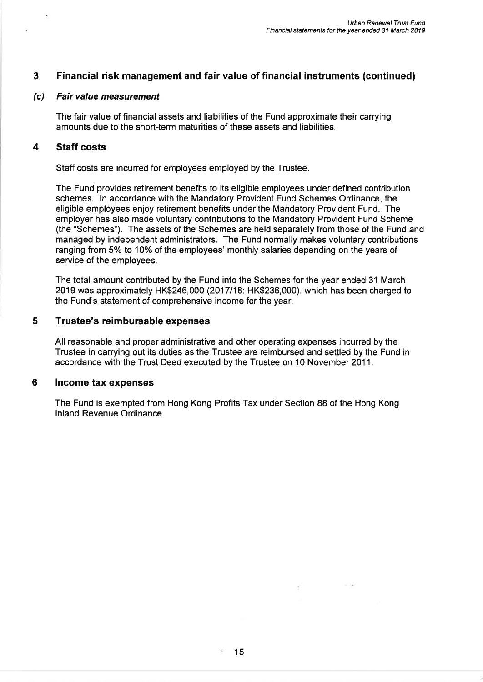### 3 Financial risk management and fair value of financial instruments (continued)

#### (c) Fair value measurement

The fair value of financial assets and liabilities of the Fund approximate their carrying amounts due to the short-term maturities of these assets and liabilities.

#### 4 Staff costs

Staff costs are incurred for employees employed by the Trustee.

The Fund provides retirement benefits to its eligible employees under defined contribution schemes. ln accordance with the Mandatory Provident Fund Schemes Ordinance, the eligible employees enjoy retirement benefits under the Mandatory Provident Fund. The employer has also made voluntary contributions to the Mandatory Provident Fund Scheme (the "Schemes"). The assets of the Schemes are held separately from those of the Fund and managed by independent administrators. The Fund normally makes voluntary contributions ranging from 5% to 10% of the employees' monthly salaries depending on the years of service of the employees.

The total amount contributed by the Fund into the Schemes for the year ended 31 March 2019 was approximately HK\$246,000 (2017118: HK\$236,000), which has been charged to the Fund's statement of comprehensive income for the year.

#### 5 Trustee's reimbursable expenses

All reasonable and proper administrative and other operating expenses incurred by the Trustee in carrying out its duties as the Trustee are reimbursed and settled by the Fund in accordance with the Trust Deed executed by the Trustee on 10 November 2011.

#### 6 lncome tax expenses

The Fund is exempted from Hong Kong Profits Tax under Section 88 of the Hong Kong lnland Revenue Ordinance.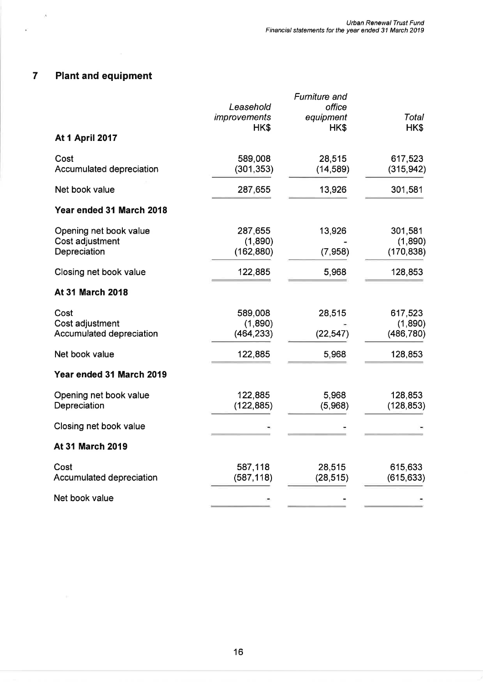## 7 Plant and equipment

 $\mathcal{R}$ 

¥

|                          |                     | Furniture and |            |
|--------------------------|---------------------|---------------|------------|
|                          | Leasehold           | office        |            |
|                          | <i>improvements</i> | equipment     | Total      |
|                          | HK\$                | HK\$          | HK\$       |
| <b>At 1 April 2017</b>   |                     |               |            |
| Cost                     | 589,008             | 28,515        | 617,523    |
| Accumulated depreciation | (301, 353)          | (14, 589)     | (315, 942) |
| Net book value           | 287,655             | 13,926        | 301,581    |
| Year ended 31 March 2018 |                     |               |            |
| Opening net book value   | 287,655             | 13,926        | 301,581    |
| Cost adjustment          | (1,890)             |               | (1,890)    |
| Depreciation             | (162, 880)          | (7,958)       | (170, 838) |
| Closing net book value   | 122,885             | 5,968         | 128,853    |
| <b>At 31 March 2018</b>  |                     |               |            |
| Cost                     | 589,008             | 28,515        | 617,523    |
| Cost adjustment          | (1,890)             |               | (1,890)    |
| Accumulated depreciation | (464, 233)          | (22, 547)     | (486, 780) |
| Net book value           | 122,885             | 5,968         | 128,853    |
| Year ended 31 March 2019 |                     |               |            |
| Opening net book value   | 122,885             | 5,968         | 128,853    |
| Depreciation             | (122, 885)          | (5,968)       | (128, 853) |
| Closing net book value   |                     |               |            |
| <b>At 31 March 2019</b>  |                     |               |            |
| Cost                     | 587,118             | 28,515        | 615,633    |
| Accumulated depreciation | (587, 118)          | (28, 515)     | (615, 633) |
| Net book value           |                     |               |            |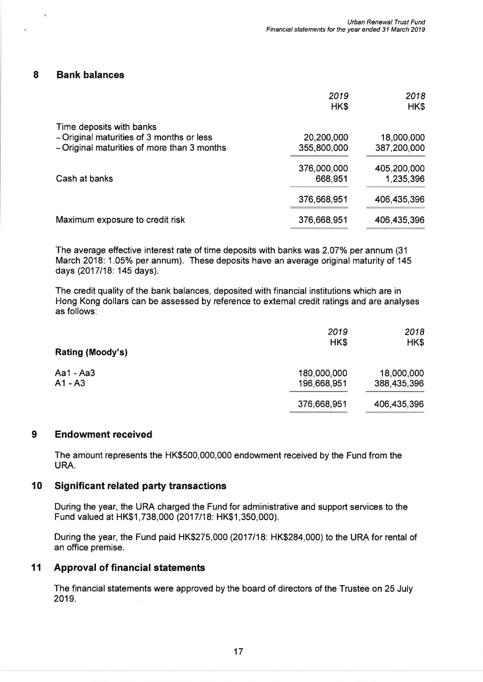#### 8 Bank balances

 $\lambda$ 

|                                             | 2019<br>HK\$ | 2018<br>HK\$ |
|---------------------------------------------|--------------|--------------|
| Time deposits with banks                    |              |              |
| - Original maturities of 3 months or less   | 20,200,000   | 18,000,000   |
| - Original maturities of more than 3 months | 355,800,000  | 387,200,000  |
|                                             | 376,000,000  | 405,200,000  |
| Cash at banks                               | 668,951      | 1,235,396    |
|                                             | 376,668,951  | 406,435,396  |
| Maximum exposure to credit risk             | 376,668,951  | 406,435,396  |
|                                             |              |              |

The average effective interest rate of time deposits with banks was 2.07% per annum (31) March 2018: 1.05% per annum). These deposits have an average original maturity of 145 days (2017118: 145 days).

The credit quality of the bank balances, deposited with financial institutions which are in Hong Kong dollars can be assessed by reference to extemal credit ratings and are analyses as follows:

|                  | 2019        | 2018        |
|------------------|-------------|-------------|
| Rating (Moody's) | HK\$        | HK\$        |
| Aa1 - Aa3        | 180,000,000 | 18,000,000  |
| $A1 - A3$        | 196,668,951 | 388,435,396 |
|                  | 376,668,951 | 406,435,396 |

### 9 Endowment received

The amount represents the HK\$500,000,000 endowment received by the Fund from the URA.

#### 10 Significant related party transactions

During the year, the URA charged the Fund for administrative and support services to the Fund valued at HK\$1,738,000 (2017118: HK\$1,350,000).

During the year, the Fund paid HK\$275,000 (2017118: HK\$284,000) to the URA for rental of an office premise.

#### 11 Approval of financial statements

The financial statements were approved by the board of directors of the Trustee on 25 July 2019.